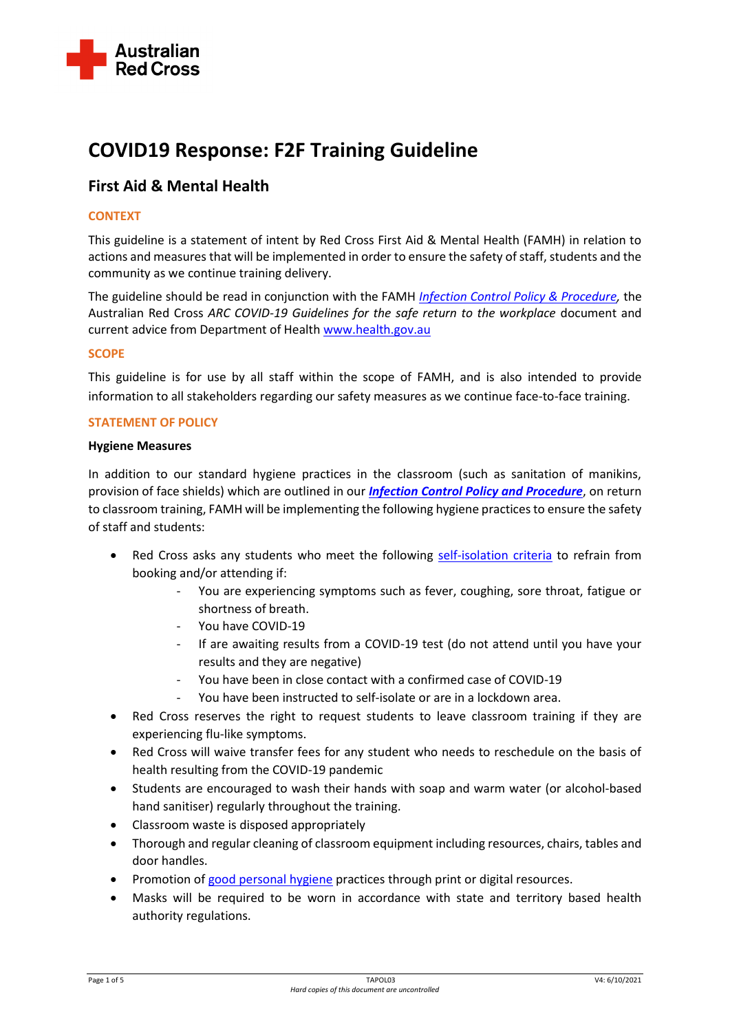

# **COVID19 Response: F2F Training Guideline**

## **First Aid & Mental Health**

## **CONTEXT**

This guideline is a statement of intent by Red Cross First Aid & Mental Health (FAMH) in relation to actions and measures that will be implemented in order to ensure the safety of staff, students and the community as we continue training delivery.

The guideline should be read in conjunction with the FAMH *[Infection Control Policy & Procedure,](https://www.redcross.org.au/getmedia/dc9e763c-64a8-4000-a156-2664f94aa127/TAPOL02-Infection-Control-Policy-V1.docx.aspx)* the Australian Red Cross *ARC COVID-19 Guidelines for the safe return to the workplace* document and current advice from Department of Healt[h www.health.gov.au](http://www.health.gov.au/)

## **SCOPE**

This guideline is for use by all staff within the scope of FAMH, and is also intended to provide information to all stakeholders regarding our safety measures as we continue face-to-face training.

## **STATEMENT OF POLICY**

#### **Hygiene Measures**

In addition to our standard hygiene practices in the classroom (such as sanitation of manikins, provision of face shields) which are outlined in our *[Infection Control Policy and Procedure](https://www.redcross.org.au/getmedia/dc9e763c-64a8-4000-a156-2664f94aa127/TAPOL02-Infection-Control-Policy-V1.docx.aspx)*, on return to classroom training, FAMH will be implementing the following hygiene practices to ensure the safety of staff and students:

- Red Cross asks any students who meet the following [self-isolation](https://www.health.gov.au/news/health-alerts/novel-coronavirus-2019-ncov-health-alert/how-to-protect-yourself-and-others-from-coronavirus-covid-19/self-isolation-self-quarantine-for-coronavirus-covid-19#who-must-selfisolate) criteria to refrain from booking and/or attending if:
	- You are experiencing symptoms such as fever, coughing, sore throat, fatigue or shortness of breath.
	- You have COVID-19
	- If are awaiting results from a COVID-19 test (do not attend until you have your results and they are negative)
	- You have been in close contact with a confirmed case of COVID-19
	- You have been instructed to self-isolate or are in a lockdown area.
- Red Cross reserves the right to request students to leave classroom training if they are experiencing flu-like symptoms.
- Red Cross will waive transfer fees for any student who needs to reschedule on the basis of health resulting from the COVID-19 pandemic
- Students are encouraged to wash their hands with soap and warm water (or alcohol-based hand sanitiser) regularly throughout the training.
- Classroom waste is disposed appropriately
- Thorough and regular cleaning of classroom equipment including resources, chairs, tables and door handles.
- Promotion of [good personal hygiene](https://www.health.gov.au/news/health-alerts/novel-coronavirus-2019-ncov-health-alert/how-to-protect-yourself-and-others-from-coronavirus-covid-19/good-hygiene-for-coronavirus-covid-19) practices through print or digital resources.
- Masks will be required to be worn in accordance with state and territory based health authority regulations.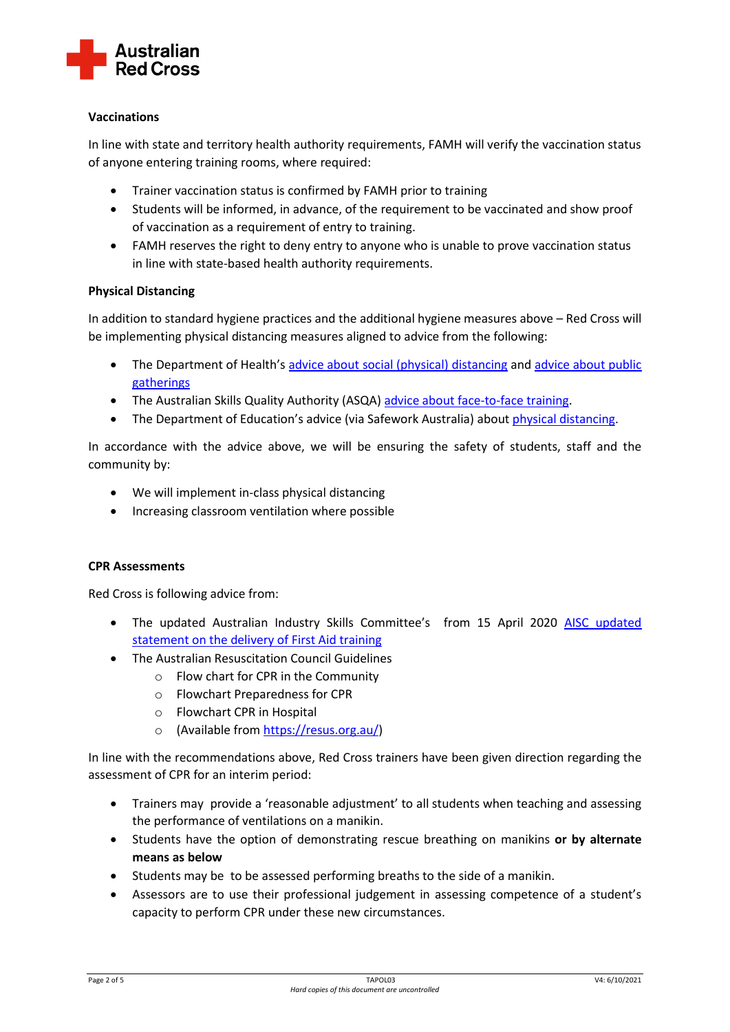

## **Vaccinations**

In line with state and territory health authority requirements, FAMH will verify the vaccination status of anyone entering training rooms, where required:

- Trainer vaccination status is confirmed by FAMH prior to training
- Students will be informed, in advance, of the requirement to be vaccinated and show proof of vaccination as a requirement of entry to training.
- FAMH reserves the right to deny entry to anyone who is unable to prove vaccination status in line with state-based health authority requirements.

## **Physical Distancing**

In addition to standard hygiene practices and the additional hygiene measures above – Red Cross will be implementing physical distancing measures aligned to advice from the following:

- The Department of Health's [advice about social \(physical\) distancing](https://www.health.gov.au/news/health-alerts/novel-coronavirus-2019-ncov-health-alert/how-to-protect-yourself-and-others-from-coronavirus-covid-19/social-distancing-for-coronavirus-covid-19) and advice about public [gatherings](https://www.health.gov.au/news/health-alerts/novel-coronavirus-2019-ncov-health-alert/how-to-protect-yourself-and-others-from-coronavirus-covid-19/limits-on-public-gatherings-for-coronavirus-covid-19)
- The Australian Skills Quality Authority (ASQA) [advice about face-to-face](https://www.asqa.gov.au/resources/faqs/covid-19/face-face-teaching) training.
- The Department of Education's advice (via Safework Australia) about *physical distancing*.

In accordance with the advice above, we will be ensuring the safety of students, staff and the community by:

- We will implement in-class physical distancing
- Increasing classroom ventilation where possible

## **CPR Assessments**

Red Cross is following advice from:

- The updated Australian Industry Skills Committee's from 15 April 2020 AISC updated [statement on the delivery of First Aid training](https://www.aisc.net.au/sites/default/files/biographies/AISC%20statement%20on%20the%20delivery%20of%20first%20aid%20training_15%20April%202020.docx)
- The Australian Resuscitation Council Guidelines
	- o Flow chart for CPR in the Community
	- o Flowchart Preparedness for CPR
	- o Flowchart CPR in Hospital
	- o (Available from [https://resus.org.au/\)](https://resus.org.au/)

In line with the recommendations above, Red Cross trainers have been given direction regarding the assessment of CPR for an interim period:

- Trainers may provide a 'reasonable adjustment' to all students when teaching and assessing the performance of ventilations on a manikin.
- Students have the option of demonstrating rescue breathing on manikins **or by alternate means as below**
- Students may be to be assessed performing breaths to the side of a manikin.
- Assessors are to use their professional judgement in assessing competence of a student's capacity to perform CPR under these new circumstances.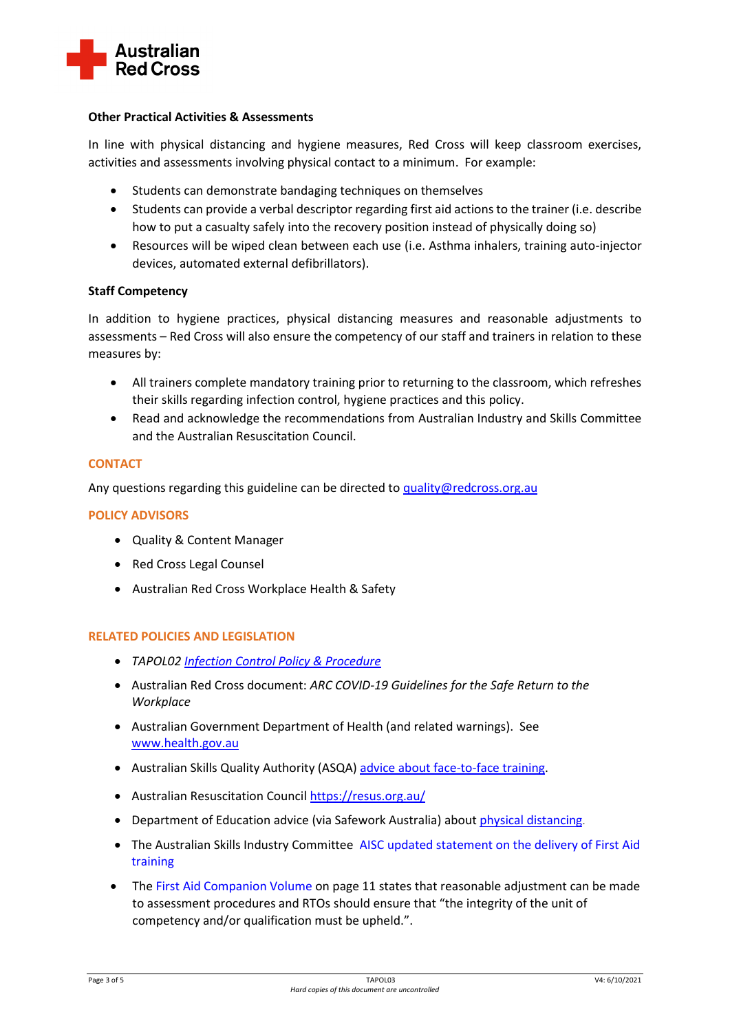

## **Other Practical Activities & Assessments**

In line with physical distancing and hygiene measures, Red Cross will keep classroom exercises, activities and assessments involving physical contact to a minimum. For example:

- Students can demonstrate bandaging techniques on themselves
- Students can provide a verbal descriptor regarding first aid actions to the trainer (i.e. describe how to put a casualty safely into the recovery position instead of physically doing so)
- Resources will be wiped clean between each use (i.e. Asthma inhalers, training auto-injector devices, automated external defibrillators).

## **Staff Competency**

In addition to hygiene practices, physical distancing measures and reasonable adjustments to assessments – Red Cross will also ensure the competency of our staff and trainers in relation to these measures by:

- All trainers complete mandatory training prior to returning to the classroom, which refreshes their skills regarding infection control, hygiene practices and this policy.
- Read and acknowledge the recommendations from Australian Industry and Skills Committee and the Australian Resuscitation Council.

## **CONTACT**

Any questions regarding this guideline can be directed t[o quality@redcross.org.au](mailto:quality@redcross.org.au)

#### **POLICY ADVISORS**

- Quality & Content Manager
- Red Cross Legal Counsel
- Australian Red Cross Workplace Health & Safety

## **RELATED POLICIES AND LEGISLATION**

- *TAPOL02 [Infection Control Policy & Procedure](https://www.redcross.org.au/getmedia/dc9e763c-64a8-4000-a156-2664f94aa127/TAPOL02-Infection-Control-Policy-V1.docx.aspx)*
- Australian Red Cross document: *ARC COVID-19 Guidelines for the Safe Return to the Workplace*
- Australian Government Department of Health (and related warnings). See [www.health.gov.au](http://www.health.gov.au/)
- Australian Skills Quality Authority (ASQA[\) advice about face-to-face](https://www.asqa.gov.au/resources/faqs/covid-19/face-face-teaching) training.
- Australian Resuscitation Council<https://resus.org.au/>
- Department of Education advice (via Safework Australia) about [physical distancing](https://www.safeworkaustralia.gov.au/covid-19-information-workplaces/industry-information/tertiary-education/physical-distancing).
- The Australian Skills Industry Committee [AISC updated statement on the delivery of First Aid](https://www.aisc.net.au/sites/default/files/biographies/AISC%20statement%20on%20the%20delivery%20of%20first%20aid%20training_15%20April%202020.docx)  [training](https://www.aisc.net.au/sites/default/files/biographies/AISC%20statement%20on%20the%20delivery%20of%20first%20aid%20training_15%20April%202020.docx)
- The [First Aid Companion Volume](https://vetnet.gov.au/search/pages/results.aspx?k=first%20aid%20companion%20volume&cat=*&sb=*&dt=*&md=*#Default=%7B%22k%22%3A%22first%20aid%20companion%20volume%22%2C%22r%22%3A%5B%5D%7D) on page 11 states that reasonable adjustment can be made to assessment procedures and RTOs should ensure that "the integrity of the unit of competency and/or qualification must be upheld.".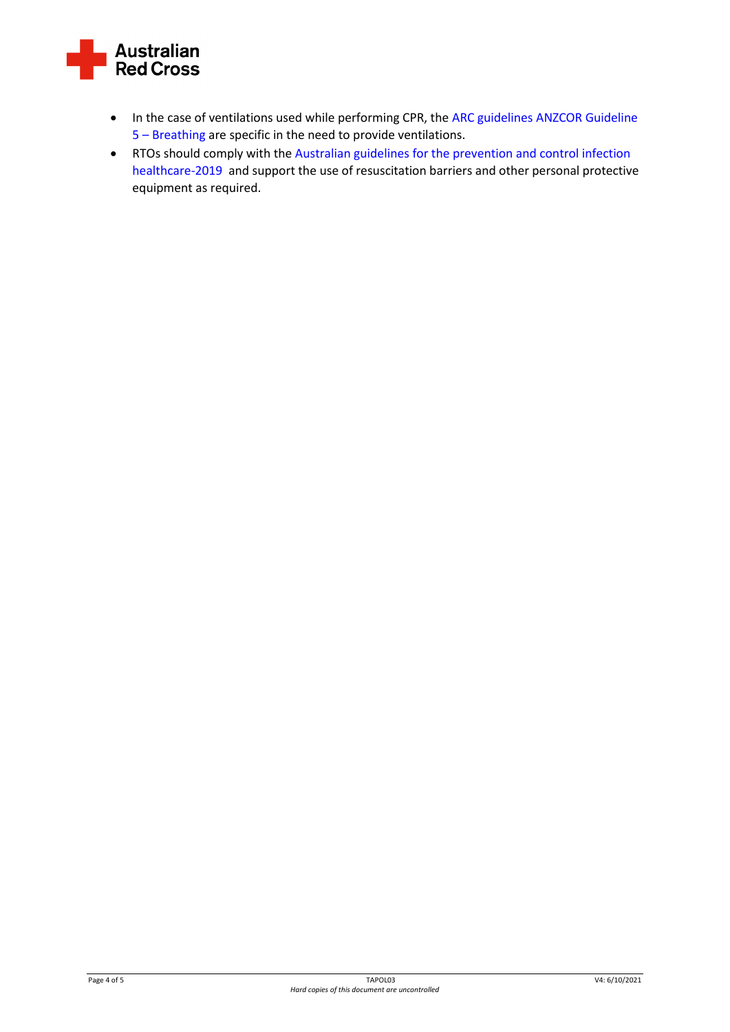

- In the case of ventilations used while performing CPR, th[e ARC guidelines ANZCOR Guideline](https://resus.org.au/guidelines/)  5 – [Breathing](https://resus.org.au/guidelines/) are specific in the need to provide ventilations.
- RTOs should comply with th[e Australian guidelines for the prevention and control infection](https://www.nhmrc.gov.au/about-us/publications/australian-guidelines-prevention-and-control-infection-healthcare-2019)  [healthcare-2019](https://www.nhmrc.gov.au/about-us/publications/australian-guidelines-prevention-and-control-infection-healthcare-2019) and support the use of resuscitation barriers and other personal protective equipment as required.